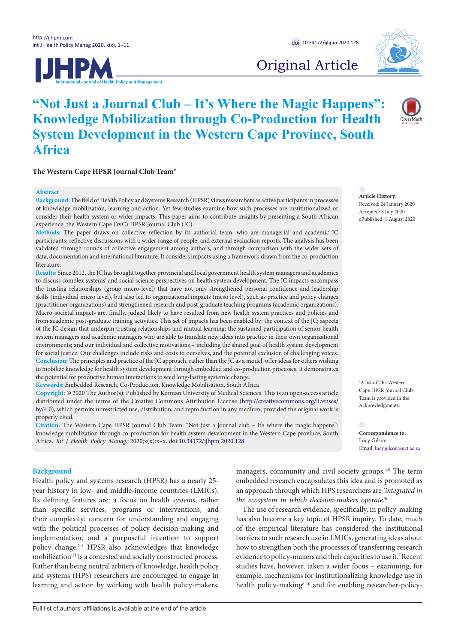



Original Article

# **"Not Just a Journal Club – It's Where the Magic Happens": Knowledge Mobilization through Co-Production for Health System Development in the Western Cape Province, South Africa**

The Western Cape HPSR Journal Club Team<sup>#</sup>

#### **Abstract**

**Background:** The field of Health Policy and Systems Research (HPSR) views researchers as active participants in processes of knowledge mobilization, learning and action. Yet few studies examine how such processes are institutionalized or consider their health system or wider impacts. This paper aims to contribute insights by presenting a South African experience: the Western Cape (WC) HPSR Journal Club (JC).

**Methods:** The paper draws on collective reflection by its authorial team, who are managerial and academic JC participants; reflective discussions with a wider range of people; and external evaluation reports. The analysis has been validated through rounds of collective engagement among authors, and through comparison with the wider sets of data, documentation and international literature. It considers impacts using a framework drawn from the co-production literature.

**Results:** Since 2012, the JC has brought together provincial and local government health system managers and academics to discuss complex systems' and social science perspectives on health system development. The JC impacts encompass the trusting relationships (group micro-level) that have not only strengthened personal confidence and leadership skills (individual micro level), but also led to organizational impacts (meso level), such as practice and policy changes (practitioner organizations) and strengthened research and post-graduate teaching programs (academic organizations). Macro-societal impacts are, finally, judged likely to have resulted from new health system practices and policies and from academic post-graduate training activities. This set of impacts has been enabled by: the context of the JC; aspects of the JC design that underpin trusting relationships and mutual learning; the sustained participation of senior health system managers and academic managers who are able to translate new ideas into practice in their own organizational environments; and our individual and collective motivations – including the shared goal of health system development for social justice. Our challenges include risks and costs to ourselves, and the potential exclusion of challenging voices. **Conclusion:** The principles and practice of the JC approach, rather than the JC as a model, offer ideas for others wishing to mobilize knowledge for health system development through embedded and co-production processes. It demonstrates the potential for productive human interactions to seed long-lasting systemic change.

**Keywords:** Embedded Research, Co-Production, Knowledge Mobilisation, South Africa

**Copyright:** © 2020 The Author(s); Published by Kerman University of Medical Sciences. This is an open-access article distributed under the terms of the Creative Commons Attribution License [\(http://creativecommons.org/licenses/](http://creativecommons.org/licenses/by/4.0) [by/4.0\)](http://creativecommons.org/licenses/by/4.0), which permits unrestricted use, distribution, and reproduction in any medium, provided the original work is properly cited.

**Citation:** The Western Cape HPSR Journal Club Team. "Not just a journal club – it's where the magic happens": knowledge mobilization through co-production for health system development in the Western Cape province, South Africa. *Int J Health Policy Manag.* 2020;x(x):x–x. doi:[10.34172/ijhpm.2020.128](https://doi.org/10.34172/ijhpm.2020.128)

# **Background**

Health policy and systems research (HPSR) has a nearly 25 year history in low- and middle-income countries (LMICs). Its defining features are: a focus on health *systems*, rather than specific services, programs or interventions, and their complexity; concern for understanding and engaging with the political processes of policy decision-making and implementation; and a purposeful intention to support policy change.1-3 HPSR also acknowledges that knowledge mobilization<sup>[1]</sup> is a contested and socially constructed process. Rather than being neutral arbiters of knowledge, health policy and systems (HPS) researchers are encouraged to engage in learning and action by working with health policy-makers,

managers, community and civil society groups.<sup>4,5</sup> The term embedded research encapsulates this idea and is promoted as an approach through which HPS researchers are *'integrated in the ecosystem in which decision-makers operate.'*<sup>6</sup>

The use of research evidence, specifically, in policy-making has also become a key topic of HPSR inquiry. To date, much of the empirical literature has considered the institutional barriers to such research use in LMICs, generating ideas about how to strengthen both the processes of transferring research evidence to policy-makers and their capacities to use it.7 Recent studies have, however, taken a wider focus – examining, for example, mechanisms for institutionalizing knowledge use in health policy-making<sup>8-10</sup> and for enabling researcher-policy-

**Article History:** Received: 24 January 2020 Accepted: 8 July 2020 ePublished: 1 August 2020

<span id="page-0-0"></span># A list of The Western Cape HPSR Journal Club Team is provided in the Acknowledgments.

<span id="page-0-1"></span>**Correspondence to:** Lucy Gilson Email: lucy.gilson@uct.ac.za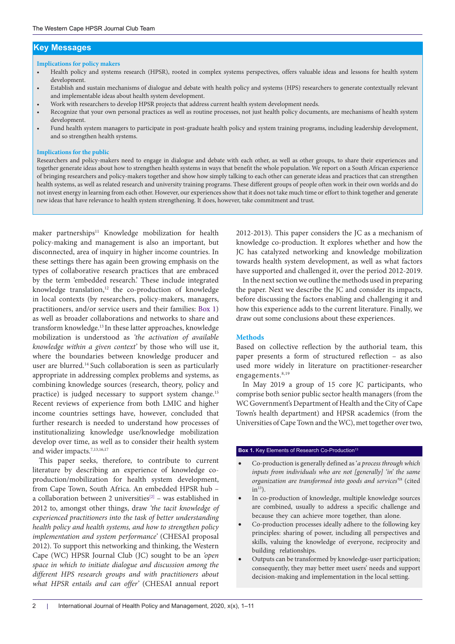# **Key Messages**

#### **Implications for policy makers**

- Health policy and systems research (HPSR), rooted in complex systems perspectives, offers valuable ideas and lessons for health system development.
- Establish and sustain mechanisms of dialogue and debate with health policy and systems (HPS) researchers to generate contextually relevant and implementable ideas about health system development.
- Work with researchers to develop HPSR projects that address current health system development needs.
- Recognize that your own personal practices as well as routine processes, not just health policy documents, are mechanisms of health system development.
- Fund health system managers to participate in post-graduate health policy and system training programs, including leadership development, and so strengthen health systems.

#### **Implications for the public**

Researchers and policy-makers need to engage in dialogue and debate with each other, as well as other groups, to share their experiences and together generate ideas about how to strengthen health systems in ways that benefit the whole population. We report on a South African experience of bringing researchers and policy-makers together and show how simply talking to each other can generate ideas and practices that can strengthen health systems, as well as related research and university training programs. These different groups of people often work in their own worlds and do not invest energy in learning from each other. However, our experiences show that it does not take much time or effort to think together and generate new ideas that have relevance to health system strengthening. It does, however, take commitment and trust.

maker partnerships<sup>11</sup> Knowledge mobilization for health policy-making and management is also an important, but disconnected, area of inquiry in higher income countries. In these settings there has again been growing emphasis on the types of collaborative research practices that are embraced by the term 'embedded research.' These include integrated knowledge translation,<sup>12</sup> the co-production of knowledge in local contexts (by researchers, policy-makers, managers, practitioners, and/or service users and their families: [Box 1\)](#page-1-0) as well as broader collaborations and networks to share and transform knowledge.13 In these latter approaches, knowledge mobilization is understood as *'the activation of available knowledge within a given context'* by those who will use it, where the boundaries between knowledge producer and user are blurred.14 Such collaboration is seen as particularly appropriate in addressing complex problems and systems, as combining knowledge sources (research, theory, policy and practice) is judged necessary to support system change.<sup>15</sup> Recent reviews of experience from both LMIC and higher income countries settings have, however, concluded that further research is needed to understand how processes of institutionalizing knowledge use/knowledge mobilization develop over time, as well as to consider their health system and wider impacts.<sup>7,13,16,17</sup>

This paper seeks, therefore, to contribute to current literature by describing an experience of knowledge coproduction/mobilization for health system development, from Cape Town, South Africa. An embedded HPSR hub – a collaboration between 2 universities<sup>[\[2\]](#page-9-1)</sup> – was established in 2012 to, amongst other things, draw *'the tacit knowledge of experienced practitioners into the task of better understanding health policy and health systems, and how to strengthen policy implementation and system performance'* (CHESAI proposal 2012). To support this networking and thinking, the Western Cape (WC) HPSR Journal Club (JC) sought to be an *'open space in which to initiate dialogue and discussion among the different HPS research groups and with practitioners about what HPSR entails and can offer'* (CHESAI annual report

2012-2013). This paper considers the JC as a mechanism of knowledge co-production. It explores whether and how the JC has catalyzed networking and knowledge mobilization towards health system development, as well as what factors have supported and challenged it, over the period 2012-2019.

In the next section we outline the methods used in preparing the paper. Next we describe the JC and consider its impacts, before discussing the factors enabling and challenging it and how this experience adds to the current literature. Finally, we draw out some conclusions about these experiences.

#### **Methods**

Based on collective reflection by the authorial team, this paper presents a form of structured reflection – as also used more widely in literature on practitioner-researcher engagements.<sup>8,19</sup>

In May 2019 a group of 15 core JC participants, who comprise both senior public sector health managers (from the WC Government's Department of Health and the City of Cape Town's health department) and HPSR academics (from the Universities of Cape Town and the WC), met together over two,

#### <span id="page-1-0"></span>**Box 1.** Key Elements of Research Co-Production<sup>13</sup>

- Co-production is generally defined as '*a process through which inputs from individuals who are not [generally] 'in' the same organization are transformed into goods and services'*18 (cited  $in<sup>13</sup>$ ).
- In co-production of knowledge, multiple knowledge sources are combined, usually to address a specific challenge and because they can achieve more together, than alone.
- Co-production processes ideally adhere to the following key principles: sharing of power, including all perspectives and skills, valuing the knowledge of everyone, reciprocity and building relationships.
- Outputs can be transformed by knowledge-user participation; consequently, they may better meet users' needs and support decision-making and implementation in the local setting.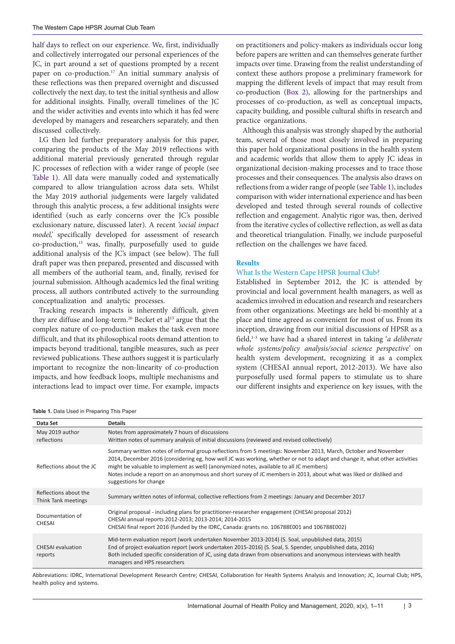half days to reflect on our experience. We, first, individually and collectively interrogated our personal experiences of the JC, in part around a set of questions prompted by a recent paper on co-production.<sup>17</sup> An initial summary analysis of these reflections was then prepared overnight and discussed collectively the next day, to test the initial synthesis and allow for additional insights. Finally, overall timelines of the JC and the wider activities and events into which it has fed were developed by managers and researchers separately, and then discussed collectively.

LG then led further preparatory analysis for this paper, comparing the products of the May 2019 reflections with additional material previously generated through regular JC processes of reflection with a wider range of people (see [Table 1\)](#page-2-0). All data were manually coded and systematically compared to allow triangulation across data sets. Whilst the May 2019 authorial judgements were largely validated through this analytic process, a few additional insights were identified (such as early concerns over the JC's possible exclusionary nature, discussed later). A recent *'social impact model,'* specifically developed for assessment of research co-production,13 was, finally, purposefully used to guide additional analysis of the JC's impact (see below). The full draft paper was then prepared, presented and discussed with all members of the authorial team, and, finally, revised for journal submission. Although academics led the final writing process, all authors contributed actively to the surrounding conceptualization and analytic processes.

Tracking research impacts is inherently difficult, given they are diffuse and long-term.<sup>20</sup> Becket et al<sup>13</sup> argue that the complex nature of co-production makes the task even more difficult, and that its philosophical roots demand attention to impacts beyond traditional, tangible measures, such as peer reviewed publications. These authors suggest it is particularly important to recognize the non-linearity of co-production impacts, and how feedback loops, multiple mechanisms and interactions lead to impact over time. For example, impacts

on practitioners and policy-makers as individuals occur long before papers are written and can themselves generate further impacts over time. Drawing from the realist understanding of context these authors propose a preliminary framework for mapping the different levels of impact that may result from co-production ([Box 2](#page-3-0)), allowing for the partnerships and processes of co-production, as well as conceptual impacts, capacity building, and possible cultural shifts in research and practice organizations.

Although this analysis was strongly shaped by the authorial team, several of those most closely involved in preparing this paper hold organizational positions in the health system and academic worlds that allow them to apply JC ideas in organizational decision-making processes and to trace those processes and their consequences. The analysis also draws on reflections from a wider range of people (see [Table 1](#page-2-0)), includes comparison with wider international experience and has been developed and tested through several rounds of collective reflection and engagement. Analytic rigor was, then, derived from the iterative cycles of collective reflection, as well as data and theoretical triangulation. Finally, we include purposeful reflection on the challenges we have faced.

# **Results**

# What Is the Western Cape HPSR Journal Club?

Established in September 2012, the JC is attended by provincial and local government health managers, as well as academics involved in education and research and researchers from other organizations. Meetings are held bi-monthly at a place and time agreed as convenient for most of us. From its inception, drawing from our initial discussions of HPSR as a field,1-3 we have had a shared interest in taking '*a deliberate whole systems/policy analysis/social science perspective'* on health system development, recognizing it as a complex system (CHESAI annual report, 2012-2013). We have also purposefully used formal papers to stimulate us to share our different insights and experience on key issues, with the

<span id="page-2-0"></span>**Table 1.** Data Used in Preparing This Paper

| Data Set                                     | <b>Details</b>                                                                                                                                                                                                                                                                                                                                                                                                                                                                            |  |
|----------------------------------------------|-------------------------------------------------------------------------------------------------------------------------------------------------------------------------------------------------------------------------------------------------------------------------------------------------------------------------------------------------------------------------------------------------------------------------------------------------------------------------------------------|--|
| May 2019 author<br>reflections               | Notes from approximately 7 hours of discussions<br>Written notes of summary analysis of initial discussions (reviewed and revised collectively)                                                                                                                                                                                                                                                                                                                                           |  |
| Reflections about the JC                     | Summary written notes of informal group reflections from 5 meetings: November 2013, March, October and November<br>2014, December 2016 (considering eg, how well JC was working, whether or not to adapt and change it, what other activities<br>might be valuable to implement as well) (anonymized notes, available to all JC members)<br>Notes include a report on an anonymous and short survey of JC members in 2013, about what was liked or disliked and<br>suggestions for change |  |
| Reflections about the<br>Think Tank meetings | Summary written notes of informal, collective reflections from 2 meetings: January and December 2017                                                                                                                                                                                                                                                                                                                                                                                      |  |
| Documentation of<br><b>CHESAI</b>            | Original proposal - including plans for practitioner-researcher engagement (CHESAI proposal 2012)<br>CHESAI annual reports 2012-2013; 2013-2014; 2014-2015<br>CHESAI final report 2016 (funded by the IDRC, Canada: grants no. 106788E001 and 106788E002)                                                                                                                                                                                                                                 |  |
| <b>CHESAI</b> evaluation<br>reports          | Mid-term evaluation report (work undertaken November 2013-2014) (S. Soal, unpublished data, 2015)<br>End of project evaluation report (work undertaken 2015-2016) (S. Soal, S. Spender, unpublished data, 2016)<br>Both included specific consideration of JC, using data drawn from observations and anonymous interviews with health<br>managers and HPS researchers                                                                                                                    |  |

Abbreviations: IDRC, International Development Research Centre; CHESAI, Collaboration for Health Systems Analysis and Innovation; JC, Journal Club; HPS, health policy and systems.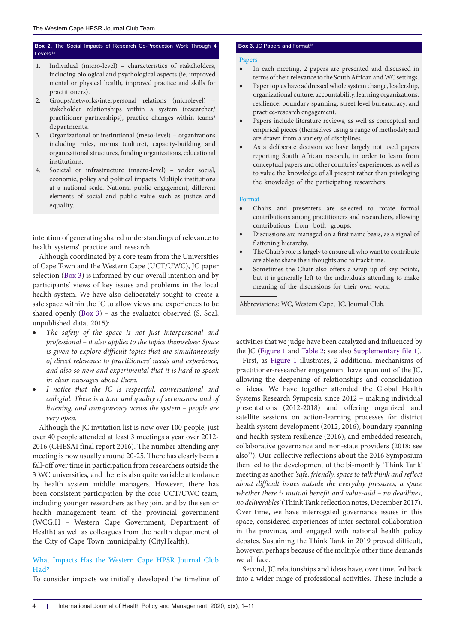# <span id="page-3-0"></span>**Box 2.** The Social Impacts of Research Co-Production Work Through 4 Levels<sup>13</sup>

- 1. Individual (micro-level) characteristics of stakeholders, including biological and psychological aspects (ie, improved mental or physical health, improved practice and skills for practitioners).
- 2. Groups/networks/interpersonal relations (microlevel) stakeholder relationships within a system (researcher/ practitioner partnerships), practice changes within teams/ departments.
- 3. Organizational or institutional (meso-level) organizations including rules, norms (culture), capacity-building and organizational structures, funding organizations, educational institutions.
- 4. Societal or infrastructure (macro-level) wider social, economic, policy and political impacts. Multiple institutions at a national scale. National public engagement, different elements of social and public value such as justice and equality.

intention of generating shared understandings of relevance to health systems' practice and research.

Although coordinated by a core team from the Universities of Cape Town and the Western Cape (UCT/UWC), JC paper selection ([Box 3\)](#page-3-1) is informed by our overall intention and by participants' views of key issues and problems in the local health system. We have also deliberately sought to create a safe space within the JC to allow views and experiences to be shared openly [\(Box 3](#page-3-1)) – as the evaluator observed (S. Soal, unpublished data, 2015):

- The safety of the space is not just interpersonal and *professional – it also applies to the topics themselves: Space is given to explore difficult topics that are simultaneously of direct relevance to practitioners' needs and experience, and also so new and experimental that it is hard to speak in clear messages about them.*
- I notice that the JC is respectful, conversational and *collegial. There is a tone and quality of seriousness and of listening, and transparency across the system – people are very open.*

Although the JC invitation list is now over 100 people, just over 40 people attended at least 3 meetings a year over 2012- 2016 (CHESAI final report 2016). The number attending any meeting is now usually around 20-25. There has clearly been a fall-off over time in participation from researchers outside the 3 WC universities, and there is also quite variable attendance by health system middle managers. However, there has been consistent participation by the core UCT/UWC team, including younger researchers as they join, and by the senior health management team of the provincial government (WCG:H – Western Cape Government, Department of Health) as well as colleagues from the health department of the City of Cape Town municipality (CityHealth).

# What Impacts Has the Western Cape HPSR Journal Club Had?

To consider impacts we initially developed the timeline of

### <span id="page-3-1"></span>**Box 3. JC Papers and Format<sup>13</sup>**

#### Papers

- In each meeting, 2 papers are presented and discussed in terms of their relevance to the South African and WC settings.
- Paper topics have addressed whole system change, leadership, organizational culture, accountability, learning organizations, resilience, boundary spanning, street level bureaucracy, and practice-research engagement.
- Papers include literature reviews, as well as conceptual and empirical pieces (themselves using a range of methods); and are drawn from a variety of disciplines.
- As a deliberate decision we have largely not used papers reporting South African research, in order to learn from conceptual papers and other countries' experiences, as well as to value the knowledge of all present rather than privileging the knowledge of the participating researchers.

#### Format

- Chairs and presenters are selected to rotate formal contributions among practitioners and researchers, allowing contributions from both groups.
- Discussions are managed on a first name basis, as a signal of flattening hierarchy.
- The Chair's role is largely to ensure all who want to contribute are able to share their thoughts and to track time.
- Sometimes the Chair also offers a wrap up of key points, but it is generally left to the individuals attending to make meaning of the discussions for their own work.

Abbreviations: WC, Western Cape; JC, Journal Club.

activities that we judge have been catalyzed and influenced by the JC ([Figure 1](#page-4-0) and [Table 2;](#page-5-0) see also [Supplementary file 1](#page-9-2)).

First, as [Figure 1](#page-4-0) illustrates, 2 additional mechanisms of practitioner-researcher engagement have spun out of the JC, allowing the deepening of relationships and consolidation of ideas. We have together attended the Global Health Systems Research Symposia since 2012 – making individual presentations (2012-2018) and offering organized and satellite sessions on action-learning processes for district health system development (2012, 2016), boundary spanning and health system resilience (2016), and embedded research, collaborative governance and non-state providers (2018; see also<sup>23</sup>). Our collective reflections about the 2016 Symposium then led to the development of the bi-monthly 'Think Tank' meeting as another *'safe, friendly, space to talk think and reflect about difficult issues outside the everyday pressures, a space whether there is mutual benefit and value-add – no deadlines, no deliverables'* (Think Tank reflection notes, December 2017). Over time, we have interrogated governance issues in this space, considered experiences of inter-sectoral collaboration in the province, and engaged with national health policy debates. Sustaining the Think Tank in 2019 proved difficult, however; perhaps because of the multiple other time demands we all face.

Second, JC relationships and ideas have, over time, fed back into a wider range of professional activities. These include a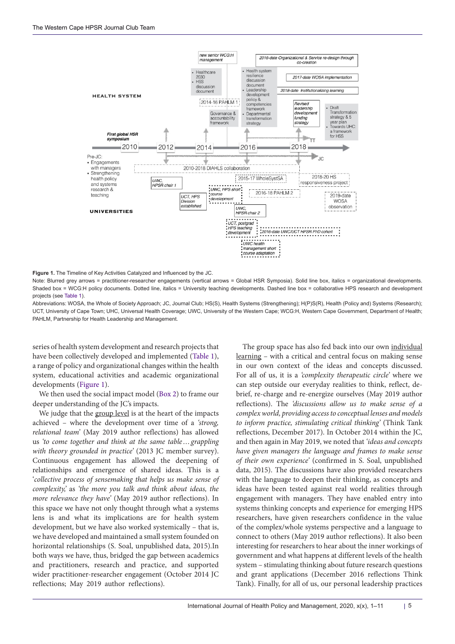<span id="page-4-0"></span>

**Figure 1.** The Timeline of Key Activities Catalyzed and Influenced by the JC.

Note: Blurred grey arrows = practitioner-researcher engagements (vertical arrows = Global HSR Symposia). Solid line box, italics = organizational developments. Shaded box = WCG:H policy documents. Dotted line, italics = University teaching developments. Dashed line box = collaborative HPS research and development projects (see [Table 1\)](#page-2-0).

Abbreviations: WOSA, the Whole of Society Approach; JC, Journal Club; HS(S), Health Systems (Strengthening); H(P)S(R), Health (Policy and) Systems (Research); UCT, University of Cape Town; UHC, Universal Health Coverage; UWC, University of the Western Cape; WCG:H, Western Cape Government, Department of Health; PAHLM, Partnership for Health Leadership and Management.

series of health system development and research projects that have been collectively developed and implemented ([Table 1\)](#page-2-0), a range of policy and organizational changes within the health system, educational activities and academic organizational developments [\(Figure 1](#page-4-0)).

We then used the social impact model [\(Box 2\)](#page-3-0) to frame our deeper understanding of the JC's impacts.

We judge that the group level is at the heart of the impacts achieved – where the development over time of a *'strong, relational team'* (May 2019 author reflections) has allowed us *'to come together and think at the same table…grappling with theory grounded in practice'* (2013 JC member survey). Continuous engagement has allowed the deepening of relationships and emergence of shared ideas. This is a '*collective process of sensemaking that helps us make sense of complexity,'* as *'the more you talk and think about ideas, the more relevance they have'* (May 2019 author reflections). In this space we have not only thought through what a systems lens is and what its implications are for health system development, but we have also worked systemically – that is, we have developed and maintained a small system founded on horizontal relationships (S. Soal, unpublished data, 2015).In both ways we have, thus, bridged the gap between academics and practitioners, research and practice, and supported wider practitioner-researcher engagement (October 2014 JC reflections; May 2019 author reflections).

The group space has also fed back into our own individual learning – with a critical and central focus on making sense in our own context of the ideas and concepts discussed. For all of us, it is a *'complexity therapeutic circle'* where we can step outside our everyday realities to think, reflect, debrief, re-charge and re-energize ourselves (May 2019 author reflections). The *'discussions allow us to make sense of a complex world, providing access to conceptual lenses and models to inform practice, stimulating critical thinking'* (Think Tank reflections, December 2017). In October 2014 within the JC, and then again in May 2019, we noted that *'ideas and concepts have given managers the language and frames to make sense of their own experience'* (confirmed in S. Soal, unpublished data, 2015). The discussions have also provided researchers with the language to deepen their thinking, as concepts and ideas have been tested against real world realities through engagement with managers. They have enabled entry into systems thinking concepts and experience for emerging HPS researchers, have given researchers confidence in the value of the complex/whole systems perspective and a language to connect to others (May 2019 author reflections). It also been interesting for researchers to hear about the inner workings of government and what happens at different levels of the health system – stimulating thinking about future research questions and grant applications (December 2016 reflections Think Tank). Finally, for all of us, our personal leadership practices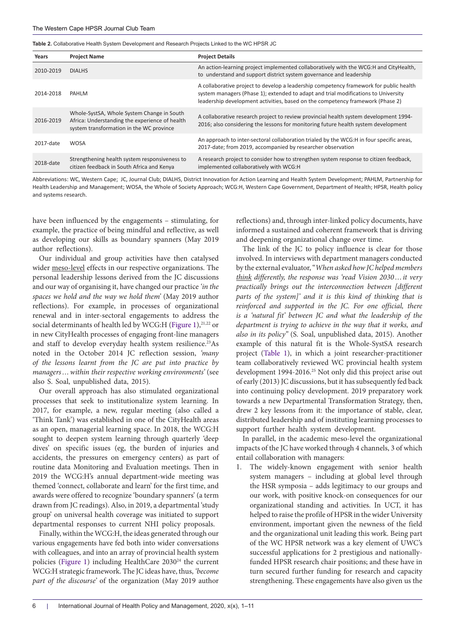<span id="page-5-0"></span>**Table 2.** Collaborative Health System Development and Research Projects Linked to the WC HPSR JC

| Years     | <b>Project Name</b>                                                                                                                      | <b>Project Details</b>                                                                                                                                                                                                                                         |
|-----------|------------------------------------------------------------------------------------------------------------------------------------------|----------------------------------------------------------------------------------------------------------------------------------------------------------------------------------------------------------------------------------------------------------------|
| 2010-2019 | <b>DIALHS</b>                                                                                                                            | An action-learning project implemented collaboratively with the WCG:H and CityHealth,<br>to understand and support district system governance and leadership                                                                                                   |
| 2014-2018 | PAHLM                                                                                                                                    | A collaborative project to develop a leadership competency framework for public health<br>system managers (Phase 1); extended to adapt and trial modifications to University<br>leadership development activities, based on the competency framework (Phase 2) |
| 2016-2019 | Whole-SystSA, Whole System Change in South<br>Africa: Understanding the experience of health<br>system transformation in the WC province | A collaborative research project to review provincial health system development 1994-<br>2016; also considering the lessons for monitoring future health system development                                                                                    |
| 2017-date | <b>WOSA</b>                                                                                                                              | An approach to inter-sectoral collaboration trialed by the WCG:H in four specific areas,<br>2017-date; from 2019, accompanied by researcher observation                                                                                                        |
| 2018-date | Strengthening health system responsiveness to<br>citizen feedback in South Africa and Kenya                                              | A research project to consider how to strengthen system response to citizen feedback,<br>implemented collaboratively with WCG:H                                                                                                                                |

Abbreviations: WC, Western Cape; JC, Journal Club; DIALHS, District Innovation for Action Learning and Health System Development; PAHLM, Partnership for Health Leadership and Management; WOSA, the Whole of Society Approach; WCG:H, Western Cape Government, Department of Health; HPSR, Health policy and systems research.

have been influenced by the engagements – stimulating, for example, the practice of being mindful and reflective, as well as developing our skills as boundary spanners (May 2019 author reflections).

Our individual and group activities have then catalysed wider meso-level effects in our respective organizations. The personal leadership lessons derived from the JC discussions and our way of organising it, have changed our practice *'in the spaces we hold and the way we hold them'* (May 2019 author reflections). For example, in processes of organizational renewal and in inter-sectoral engagements to address the social determinants of health led by WCG:H [\(Figure 1](#page-4-0)),<sup>21,22</sup> or in new CityHealth processes of engaging front-line managers and staff to develop everyday health system resilience.<sup>23</sup>As noted in the October 2014 JC reflection session, *'many of the lessons learnt from the JC are put into practice by managers…within their respective working environments'* (see also S. Soal, unpublished data, 2015).

Our overall approach has also stimulated organizational processes that seek to institutionalize system learning. In 2017, for example, a new, regular meeting (also called a 'Think Tank') was established in one of the CityHealth areas as an open, managerial learning space. In 2018, the WCG:H sought to deepen system learning through quarterly 'deep dives' on specific issues (eg, the burden of injuries and accidents, the pressures on emergency centers) as part of routine data Monitoring and Evaluation meetings. Then in 2019 the WCG:H's annual department-wide meeting was themed 'connect, collaborate and learn' for the first time, and awards were offered to recognize 'boundary spanners' (a term drawn from JC readings). Also, in 2019, a departmental 'study group' on universal health coverage was initiated to support departmental responses to current NHI policy proposals.

Finally, within the WCG:H, the ideas generated through our various engagements have fed both into wider conversations with colleagues, and into an array of provincial health system policies ([Figure 1](#page-4-0)) including HealthCare 2030<sup>24</sup> the current WCG:H strategic framework. The JC ideas have, thus, *'become part of the discourse'* of the organization (May 2019 author

reflections) and, through inter-linked policy documents, have informed a sustained and coherent framework that is driving and deepening organizational change over time.

The link of the JC to policy influence is clear for those involved. In interviews with department managers conducted by the external evaluator, "*When asked how JC helped members think differently, the response was 'read Vision 2030…it very practically brings out the interconnection between [different parts of the system]' and it is this kind of thinking that is reinforced and supported in the JC. For one official, there is a 'natural fit' between JC and what the leadership of the department is trying to achieve in the way that it works, and also in its policy"* (S. Soal, unpublished data, 2015). Another example of this natural fit is the Whole-SystSA research project [\(Table 1\)](#page-2-0), in which a joint researcher-practitioner team collaboratively reviewed WC provincial health system development 1994-2016.<sup>25</sup> Not only did this project arise out of early (2013) JC discussions, but it has subsequently fed back into continuing policy development. 2019 preparatory work towards a new Departmental Transformation Strategy, then, drew 2 key lessons from it: the importance of stable, clear, distributed leadership and of instituting learning processes to support further health system development.

In parallel, in the academic meso-level the organizational impacts of the JC have worked through 4 channels, 3 of which entail collaboration with managers:

1. The widely-known engagement with senior health system managers – including at global level through the HSR symposia – adds legitimacy to our groups and our work, with positive knock-on consequences for our organizational standing and activities. In UCT, it has helped to raise the profile of HPSR in the wider University environment, important given the newness of the field and the organizational unit leading this work. Being part of the WC HPSR network was a key element of UWC's successful applications for 2 prestigious and nationallyfunded HPSR research chair positions; and these have in turn secured further funding for research and capacity strengthening. These engagements have also given us the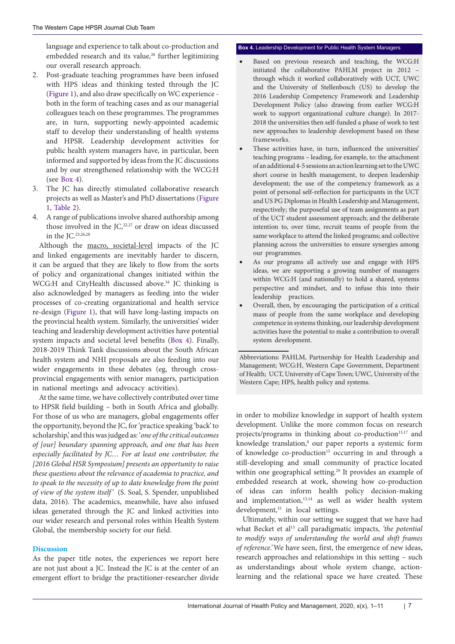language and experience to talk about co-production and embedded research and its value,<sup>26</sup> further legitimizing our overall research approach.

- 2. Post-graduate teaching programmes have been infused with HPS ideas and thinking tested through the JC ([Figure 1\)](#page-4-0), and also draw specifically on WC experience both in the form of teaching cases and as our managerial colleagues teach on these programmes. The programmes are, in turn, supporting newly-appointed academic staff to develop their understanding of health systems and HPSR. Leadership development activities for public health system managers have, in particular, been informed and supported by ideas from the JC discussions and by our strengthened relationship with the WCG:H (see [Box 4\)](#page-6-0).
- 3. The JC has directly stimulated collaborative research projects as well as Master's and PhD dissertations ([Figure](#page-4-0) [1](#page-4-0), [Table 2\)](#page-5-0).
- 4. A range of publications involve shared authorship among those involved in the  $JC<sub>1</sub><sup>22,27</sup>$  or draw on ideas discussed in the JC.23,26,28

Although the macro, societal-level impacts of the JC and linked engagements are inevitably harder to discern, it can be argued that they are likely to flow from the sorts of policy and organizational changes initiated within the WCG:H and CityHealth discussed above.<sup>16</sup> JC thinking is also acknowledged by managers as feeding into the wider processes of co-creating organizational and health service re-design [\(Figure 1](#page-4-0)), that will have long-lasting impacts on the provincial health system. Similarly, the universities' wider teaching and leadership development activities have potential system impacts and societal level benefits [\(Box 4\)](#page-6-0). Finally, 2018-2019 Think Tank discussions about the South African health system and NHI proposals are also feeding into our wider engagements in these debates (eg, through crossprovincial engagements with senior managers, participation in national meetings and advocacy activities).

At the same time, we have collectively contributed over time to HPSR field building – both in South Africa and globally. For those of us who are managers, global engagements offer the opportunity, beyond the JC, for 'practice speaking 'back' to scholarship,' and this was judged as: '*one of the critical outcomes of [our] boundary spanning approach, and one that has been especially facilitated by JC… For at least one contributor, the [2016 Global HSR Symposium] presents an opportunity to raise these questions about the relevance of academia to practice, and to speak to the necessity of up to date knowledge from the point of view of the system itself'* (S. Soal, S. Spender, unpublished data, 2016). The academics, meanwhile, have also infused ideas generated through the JC and linked activities into our wider research and personal roles within Health System Global, the membership society for our field.

# **Discussion**

As the paper title notes, the experiences we report here are not just about a JC. Instead the JC is at the center of an emergent effort to bridge the practitioner-researcher divide

# <span id="page-6-0"></span>**Box 4.** Leadership Development for Public Health System Managers

- Based on previous research and teaching, the WCG:H initiated the collaborative PAHLM project in 2012 – through which it worked collaboratively with UCT, UWC and the University of Stellenbosch (US) to develop the 2016 Leadership Competency Framework and Leadership Development Policy (also drawing from earlier WCG:H work to support organizational culture change). In 2017- 2018 the universities then self-funded a phase of work to test new approaches to leadership development based on these frameworks.
- These activities have, in turn, influenced the universities' teaching programs – leading, for example, to: the attachment of an additional 4-5 sessions an action learning set to the UWC short course in health management, to deepen leadership development; the use of the competency framework as a point of personal self-reflection for participants in the UCT and US PG Diplomas in Health Leadership and Management, respectively; the purposeful use of team assignments as part of the UCT student assessment approach; and the deliberate intention to, over time, recruit teams of people from the same workplace to attend the linked programs; and collective planning across the universities to ensure synergies among our programmes.
- As our programs all actively use and engage with HPS ideas, we are supporting a growing number of managers within WCG:H (and nationally) to hold a shared, systems perspective and mindset, and to infuse this into their leadership practices.
- Overall, then, by encouraging the participation of a critical mass of people from the same workplace and developing competence in systems thinking, our leadership development activities have the potential to make a contribution to overall system development.

Abbreviations: PAHLM, Partnership for Health Leadership and Management; WCG:H, Western Cape Government, Department of Health; UCT, University of Cape Town; UWC, University of the Western Cape; HPS, health policy and systems.

in order to mobilize knowledge in support of health system development. Unlike the more common focus on research projects/programs in thinking about co-production<sup>13,17</sup> and knowledge translation,<sup>8</sup> our paper reports a systemic form of knowledge co-production<sup>15</sup> occurring in and through a still-developing and small community of practice located within one geographical setting.<sup>29</sup> It provides an example of embedded research at work, showing how co-production of ideas can inform health policy decision-making and implementation,<sup>13,14</sup> as well as wider health system development,<sup>15</sup> in local settings.

Ultimately, within our setting we suggest that we have had what Becket et al<sup>13</sup> call paradigmatic impacts, 'the potential *to modify ways of understanding the world and shift frames of reference.'* We have seen, first, the emergence of new ideas, research approaches and relationships in this setting – such as understandings about whole system change, actionlearning and the relational space we have created. These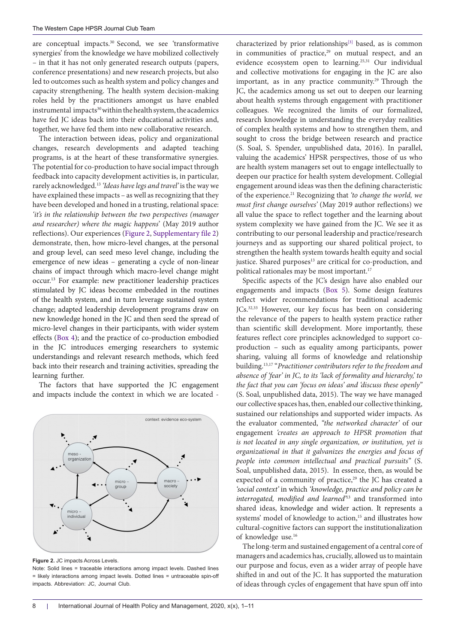are conceptual impacts.<sup>30</sup> Second, we see 'transformative synergies' from the knowledge we have mobilized collectively – in that it has not only generated research outputs (papers, conference presentations) and new research projects, but also led to outcomes such as health system and policy changes and capacity strengthening. The health system decision-making roles held by the practitioners amongst us have enabled instrumental impacts<sup>30</sup> within the health system, the academics have fed JC ideas back into their educational activities and, together, we have fed them into new collaborative research.

The interaction between ideas, policy and organizational changes, research developments and adapted teaching programs, is at the heart of these transformative synergies. The potential for co-production to have social impact through feedback into capacity development activities is, in particular, rarely acknowledged.13 *'Ideas have legs and travel'* is the way we have explained these impacts – as well as recognizing that they have been developed and honed in a trusting, relational space: *'it's in the relationship between the two perspectives (manager and researcher) where the magic happens*' (May 2019 author reflections). Our experiences [\(Figure 2](#page-7-0), [Supplementary file 2\)](#page-9-3) demonstrate, then, how micro-level changes, at the personal and group level, can seed meso level change, including the emergence of new ideas – generating a cycle of non-linear chains of impact through which macro-level change might occur.13 For example: new practitioner leadership practices stimulated by JC ideas become embedded in the routines of the health system, and in turn leverage sustained system change; adapted leadership development programs draw on new knowledge honed in the JC and then seed the spread of micro-level changes in their participants, with wider system effects [\(Box 4\)](#page-6-0); and the practice of co-production embodied in the JC introduces emerging researchers to systemic understandings and relevant research methods, which feed back into their research and training activities, spreading the learning further.

The factors that have supported the JC engagement and impacts include the context in which we are located -

<span id="page-7-0"></span>

**Figure 2. JC impacts Across Levels.** 

Note: Solid lines = traceable interactions among impact levels. Dashed lines = likely interactions among impact levels. Dotted lines = untraceable spin-off impacts. Abbreviation: JC, Journal Club.

characterized by prior relationships<sup>[3]</sup> based, as is common in communities of practice, $29$  on mutual respect, and an evidence ecosystem open to learning.<sup>25,31</sup> Our individual and collective motivations for engaging in the JC are also important, as in any practice community.<sup>29</sup> Through the JC, the academics among us set out to deepen our learning about health systems through engagement with practitioner colleagues. We recognized the limits of our formalized, research knowledge in understanding the everyday realities of complex health systems and how to strengthen them, and sought to cross the bridge between research and practice (S. Soal, S. Spender, unpublished data, 2016). In parallel, valuing the academics' HPSR perspectives, those of us who are health system managers set out to engage intellectually to deepen our practice for health system development. Collegial engagement around ideas was then the defining characteristic of the experience.21 Recognizing that *'to change the world, we must first change ourselves'* (May 2019 author reflections) we all value the space to reflect together and the learning about system complexity we have gained from the JC. We see it as contributing to our personal leadership and practice/research journeys and as supporting our shared political project, to strengthen the health system towards health equity and social justice. Shared purposes<sup>13</sup> are critical for co-production, and political rationales may be most important.<sup>17</sup>

Specific aspects of the JC's design have also enabled our engagements and impacts [\(Box 5\)](#page-8-0). Some design features reflect wider recommendations for traditional academic JCs.<sup>32,33</sup> However, our key focus has been on considering the relevance of the papers to health system practice rather than scientific skill development. More importantly, these features reflect core principles acknowledged to support coproduction – such as equality among participants, power sharing, valuing all forms of knowledge and relationship building.13,17 "*Practitioner contributors refer to the freedom and absence of 'fear' in JC, to its 'lack of formality and hierarchy,' to the fact that you can 'focus on ideas' and 'discuss these openly"*  (S. Soal, unpublished data, 2015). The way we have managed our collective spaces has, then, enabled our collective thinking, sustained our relationships and supported wider impacts. As the evaluator commented, *"the networked character'* of our engagement *'creates an approach to HPSR promotion that is not located in any single organization, or institution, yet is organizational in that it galvanizes the energies and focus of people into common intellectual and practical pursuits"* (S. Soal, unpublished data, 2015).In essence, then, as would be expected of a community of practice,<sup>29</sup> the JC has created a *'social context'* in which *'knowledge, practice and policy can be interrogated, modified and learned'*13 and transformed into shared ideas, knowledge and wider action. It represents a systems' model of knowledge to action,<sup>15</sup> and illustrates how cultural-cognitive factors can support the institutionalization of knowledge use.16

The long-term and sustained engagement of a central core of managers and academics has, crucially, allowed us to maintain our purpose and focus, even as a wider array of people have shifted in and out of the JC. It has supported the maturation of ideas through cycles of engagement that have spun off into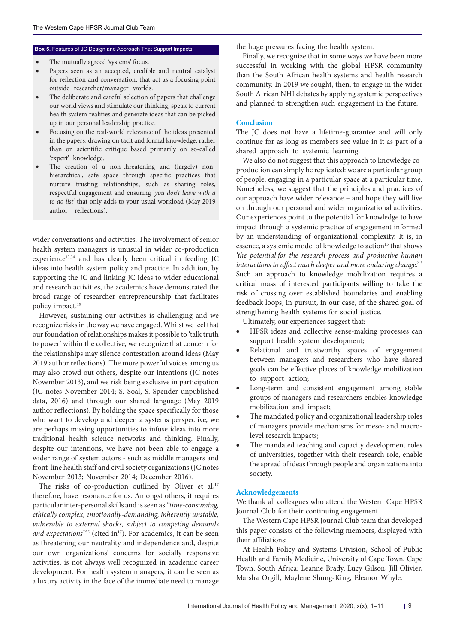- The mutually agreed 'systems' focus.
- Papers seen as an accepted, credible and neutral catalyst for reflection and conversation, that act as a focusing point outside researcher/manager worlds.
- The deliberate and careful selection of papers that challenge our world views and stimulate our thinking, speak to current health system realities and generate ideas that can be picked up in our personal leadership practice.
- Focusing on the real-world relevance of the ideas presented in the papers, drawing on tacit and formal knowledge, rather than on scientific critique based primarily on so-called 'expert' knowledge.
- The creation of a non-threatening and (largely) nonhierarchical, safe space through specific practices that nurture trusting relationships, such as sharing roles, respectful engagement and ensuring '*you don't leave with a to do list'* that only adds to your usual workload (May 2019 author reflections).

wider conversations and activities. The involvement of senior health system managers is unusual in wider co-production experience<sup>13,34</sup> and has clearly been critical in feeding JC ideas into health system policy and practice. In addition, by supporting the JC and linking JC ideas to wider educational and research activities, the academics have demonstrated the broad range of researcher entrepreneurship that facilitates policy impact.19

However, sustaining our activities is challenging and we recognize risks in the way we have engaged. Whilst we feel that our foundation of relationships makes it possible to 'talk truth to power' within the collective, we recognize that concern for the relationships may silence contestation around ideas (May 2019 author reflections). The more powerful voices among us may also crowd out others, despite our intentions (JC notes November 2013), and we risk being exclusive in participation (JC notes November 2014; S. Soal, S. Spender unpublished data, 2016) and through our shared language (May 2019 author reflections). By holding the space specifically for those who want to develop and deepen a systems perspective, we are perhaps missing opportunities to infuse ideas into more traditional health science networks and thinking. Finally, despite our intentions, we have not been able to engage a wider range of system actors - such as middle managers and front-line health staff and civil society organizations (JC notes November 2013; November 2014; December 2016).

The risks of co-production outlined by Oliver et al,<sup>17</sup> therefore, have resonance for us. Amongst others, it requires particular inter-personal skills and is seen as *"time-consuming, ethically complex, emotionally-demanding, inherently unstable, vulnerable to external shocks, subject to competing demands*  and expectations<sup>"35</sup> (cited in<sup>17</sup>). For academics, it can be seen as threatening our neutrality and independence and, despite our own organizations' concerns for socially responsive activities, is not always well recognized in academic career development. For health system managers, it can be seen as a luxury activity in the face of the immediate need to manage

<span id="page-8-0"></span>**Box 5.** Features of JC Design and Approach That Support Impacts the huge pressures facing the health system.

Finally, we recognize that in some ways we have been more successful in working with the global HPSR community than the South African health systems and health research community. In 2019 we sought, then, to engage in the wider South African NHI debates by applying systemic perspectives and planned to strengthen such engagement in the future.

# **Conclusion**

The JC does not have a lifetime-guarantee and will only continue for as long as members see value in it as part of a shared approach to systemic learning.

We also do not suggest that this approach to knowledge coproduction can simply be replicated: we are a particular group of people, engaging in a particular space at a particular time. Nonetheless, we suggest that the principles and practices of our approach have wider relevance – and hope they will live on through our personal and wider organizational activities. Our experiences point to the potential for knowledge to have impact through a systemic practice of engagement informed by an understanding of organizational complexity. It is, in essence, a systemic model of knowledge to action<sup>15</sup> that shows *'the potential for the research process and productive human interactions to affect much deeper and more enduring change.'*<sup>13</sup> Such an approach to knowledge mobilization requires a critical mass of interested participants willing to take the risk of crossing over established boundaries and enabling feedback loops, in pursuit, in our case, of the shared goal of strengthening health systems for social justice.

Ultimately, our experiences suggest that:

- HPSR ideas and collective sense-making processes can support health system development;
- Relational and trustworthy spaces of engagement between managers and researchers who have shared goals can be effective places of knowledge mobilization to support action;
- Long-term and consistent engagement among stable groups of managers and researchers enables knowledge mobilization and impact;
- The mandated policy and organizational leadership roles of managers provide mechanisms for meso- and macrolevel research impacts;
- The mandated teaching and capacity development roles of universities, together with their research role, enable the spread of ideas through people and organizations into society.

# **Acknowledgements**

We thank all colleagues who attend the Western Cape HPSR Journal Club for their continuing engagement.

The Western Cape HPSR Journal Club team that developed this paper consists of the following members, displayed with their affiliations:

At Health Policy and Systems Division, School of Public Health and Family Medicine, University of Cape Town, Cape Town, South Africa: Leanne Brady, Lucy Gilson, Jill Olivier, Marsha Orgill, Maylene Shung-King, Eleanor Whyle.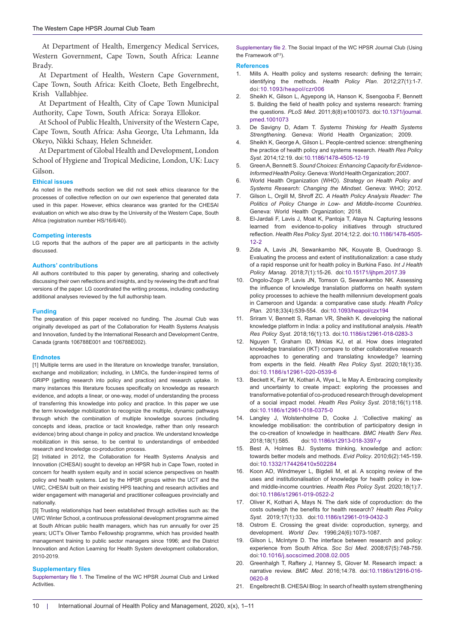At Department of Health, Emergency Medical Services, Western Government, Cape Town, South Africa: Leanne Brady.

At Department of Health, Western Cape Government, Cape Town, South Africa: Keith Cloete, Beth Engelbrecht, Krish Vallabhjee.

At Department of Health, City of Cape Town Municipal Authority, Cape Town, South Africa: Soraya Ellokor.

At School of Public Health, University of the Western Cape, Cape Town, South Africa: Asha George, Uta Lehmann, Ida Okeyo, Nikki Schaay, Helen Schneider.

At Department of Global Health and Development, London School of Hygiene and Tropical Medicine, London, UK: Lucy Gilson.

#### **Ethical issues**

As noted in the methods section we did not seek ethics clearance for the processes of collective reflection on our *own* experience that generated data used in this paper. However, ethics clearance was granted for the CHESAI evaluation on which we also draw by the University of the Western Cape, South Africa (registration number HS/16/6/40).

#### **Competing interests**

LG reports that the authors of the paper are all participants in the activity discussed.

#### **Authors' contributions**

All authors contributed to this paper by generating, sharing and collectively discussing their own reflections and insights, and by reviewing the draft and final versions of the paper. LG coordinated the writing process, including conducting additional analyses reviewed by the full authorship team.

#### **Funding**

The preparation of this paper received no funding. The Journal Club was originally developed as part of the Collaboration for Health Systems Analysis and Innovation, funded by the International Research and Development Centre, Canada (grants 106788E001 and 106788E002).

#### **Endnotes**

<span id="page-9-0"></span>[1] Multiple terms are used in the literature on knowledge transfer, translation, exchange and mobilization; including, in LMICs, the funder-inspired terms of GRIPP (getting research into policy and practice) and research uptake. In many instances this literature focuses specifically on knowledge as research evidence, and adopts a linear, or one-way, model of understanding the process of transferring this knowledge into policy and practice. In this paper we use the term knowledge mobilization to recognize the multiple, dynamic pathways through which the combination of multiple knowledge sources (including concepts and ideas, practice or tacit knowledge, rather than only research evidence) bring about change in policy and practice. We understand knowledge mobilization in this sense, to be central to understandings of embedded research and knowledge co-production process.

<span id="page-9-1"></span>[2] Initiated in 2012, the Collaboration for Health Systems Analysis and Innovation (CHESAI) sought to develop an HPSR hub in Cape Town, rooted in concern for health system equity and in social science perspectives on health policy and health systems. Led by the HPSR groups within the UCT and the UWC, CHESAI built on their existing HPS teaching and research activities and wider engagement with managerial and practitioner colleagues provincially and nationally.

<span id="page-9-4"></span>[3] Trusting relationships had been established through activities such as: the UWC Winter School, a continuous professional development programme aimed at South African public health managers, which has run annually for over 25 years; UCT's Oliver Tambo Fellowship programme, which has provided health management training to public sector managers since 1996; and the District Innovation and Action Learning for Health System development collaboration, 2010-2019.

#### **Supplementary files**

<span id="page-9-2"></span>[Supplementary file 1](https://www.ijhpm.com/data/ijhpm/news/Gilson-Supple-File-1-IJHPM.pdf). The Timeline of the WC HPSR Journal Club and Linked Activities.

<span id="page-9-3"></span>[Supplementary file 2](https://www.ijhpm.com/data/ijhpm/news/Gilson-Supple-File-2-IJHPM.pdf). The Social Impact of the WC HPSR Journal Club (Using the Framework of<sup>13</sup>).

#### **References**

- 1. Mills A. Health policy and systems research: defining the terrain; identifying the methods. *Health Policy Plan*. 2012;27(1):1-7. doi:[10.1093/heapol/czr006](https://doi.org/10.1093/heapol/czr006)
- 2. Sheikh K, Gilson L, Agyepong IA, Hanson K, Ssengooba F, Bennett S. Building the field of health policy and systems research: framing the questions. *PLoS Med*. 2011;8(8):e1001073. doi:[10.1371/journal.](https://doi.org/10.1371/journal.pmed.1001073) [pmed.1001073](https://doi.org/10.1371/journal.pmed.1001073)
- 3. De Savigny D, Adam T. *Systems Thinking for Health Systems Strengthening*. Geneva: World Health Organization; 2009.
- 4. Sheikh K, George A, Gilson L. People-centred science: strengthening the practice of health policy and systems research. *Health Res Policy Syst*. 2014;12:19. doi:[10.1186/1478-4505-12-19](https://doi.org/10.1186/1478-4505-12-19)
- 5. Green A, Bennett S. *Sound Choices: Enhancing Capacity for Evidence-Informed Health Policy*. Geneva: World Health Organization; 2007.
- 6. World Health Organization (WHO). *Strategy on Health Policy and Systems Research: Changing the Mindset.* Geneva: WHO; 2012.
- 7. Gilson L, Orgill M, Shroff ZC. *A Health Policy Analysis Reader: The Politics of Policy Change in Low- and Middle-Income Countries*. Geneva: World Health Organization; 2018.
- 8. El-Jardali F, Lavis J, Moat K, Pantoja T, Ataya N. Capturing lessons learned from evidence-to-policy initiatives through structured reflection*. Health Res Policy Syst*. 2014;12:2. doi:[10.1186/1478-4505-](https://doi.org/10.1186/1478-4505-12-2) [12-2](https://doi.org/10.1186/1478-4505-12-2)
- 9. Zida A, Lavis JN, Sewankambo NK, Kouyate B, Ouedraogo S. Evaluating the process and extent of institutionalization: a case study of a rapid response unit for health policy in Burkina Faso. *Int J Health Policy Manag*. 2018;7(1):15-26. doi[:10.15171/ijhpm.2017.39](https://doi.org/10.15171/ijhpm.2017.39)
- 10. Ongolo-Zogo P, Lavis JN, Tomson G, Sewankambo NK. Assessing the influence of knowledge translation platforms on health system policy processes to achieve the health millennium development goals in Cameroon and Uganda: a comparative case study. *Health Policy Plan.* 2018;33(4):539-554. doi:[10.1093/heapol/czx194](https://doi.org/10.1093/heapol/czx194)
- 11. Sriram V, Bennett S, Raman VR, Sheikh K. developing the national knowledge platform in India: a policy and institutional analysis. *Health Res Policy Syst*. 2018;16(1):13. doi[:10.1186/s12961-018-0283-3](https://doi.org/10.1186/s12961-018-0283-3)
- 12. Nguyen T, Graham ID, Mrklas KJ, et al. How does integrated knowledge translation (IKT) compare to other collaborative research approaches to generating and translating knowledge? learning from experts in the field. *Health Res Policy Syst*. 2020;18(1):35. doi:[10.1186/s12961-020-0539-6](https://doi.org/10.1186/s12961-020-0539-6)
- 13. Beckett K, Farr M, Kothari A, Wye L, le May A. Embracing complexity and uncertainty to create impact: exploring the processes and transformative potential of co-produced research through development of a social impact model. *Health Res Policy Syst*. 2018;16(1):118. doi[:10.1186/s12961-018-0375-0](https://doi.org/10.1186/s12961-018-0375-0)
- 14. Langley J, Wolstenholme D, Cooke J. 'Collective making' as knowledge mobilisation: the contribution of participatory design in the co-creation of knowledge in healthcare. *BMC Health Serv Res.* 2018;18(1):585. doi[:10.1186/s12913-018-3397-y](https://doi.org/10.1186/s12913-018-3397-y)
- 15. Best A, Holmes BJ. Systems thinking, knowledge and action: towards better models and methods. *Evid Policy*. 2010;6(2):145-159. doi:[10.1332/174426410x502284](https://doi.org/10.1332/174426410x502284)
- 16. Koon AD, Windmeyer L, Bigdeli M, et al. A scoping review of the uses and institutionalisation of knowledge for health policy in lowand middle-income countries. *Health Res Policy Syst*. 2020;18(1):7. doi:[10.1186/s12961-019-0522-2](https://doi.org/10.1186/s12961-019-0522-2)
- 17. Oliver K, Kothari A, Mays N. The dark side of coproduction: do the costs outweigh the benefits for health research? *Health Res Policy Syst.* 2019;17(1):33. doi:[10.1186/s12961-019-0432-3](https://doi.org/10.1186/s12961-019-0432-3)
- 18. Ostrom E. Crossing the great divide: coproduction, synergy, and development. *World Dev.* 1996;24(6):1073-1087.
- 19. Gilson L, McIntyre D. The interface between research and policy: experience from South Africa. *Soc Sci Med*. 2008;67(5):748-759. doi:[10.1016/j.socscimed.2008.02.005](https://doi.org/10.1016/j.socscimed.2008.02.005)
- 20. Greenhalgh T, Raftery J, Hanney S, Glover M. Research impact: a narrative review. *BMC Med*. 2016;14:78. doi:[10.1186/s12916-016-](https://doi.org/10.1186/s12916-016-0620-8) [0620-8](https://doi.org/10.1186/s12916-016-0620-8)
- 21. Engelbrecht B. CHESAI Blog: In search of health system strengthening